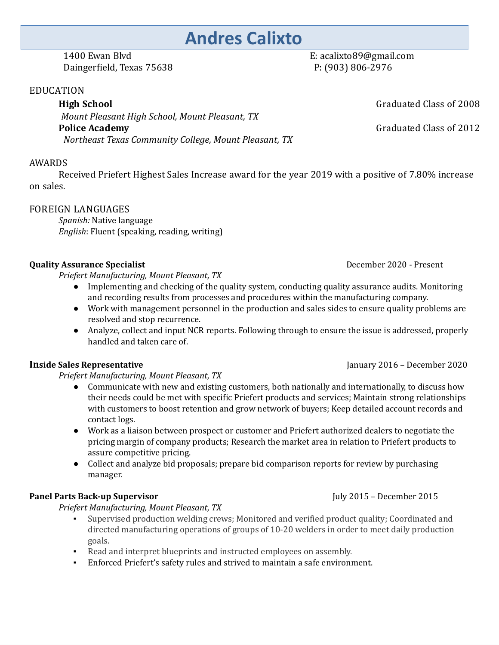## **Andres Calixto**

1400 Ewan Blvd E: acalixto89@gmail.com Daingerield, Texas 75638 P: (903) 806-2976

### EDUCATION

**High School** Graduated Class of 2008 *Mount Pleasant High School, Mount Pleasant, TX* **Police Academy** Graduated Class of 2012 *Northeast Texas Community College, Mount Pleasant, TX* 

### AWARDS

Received Priefert Highest Sales Increase award for the year 2019 with a positive of 7.80% increase on sales.

### FOREIGN LANGUAGES

*Spanish:* Native language *English*: Fluent (speaking, reading, writing)

### **Quality Assurance Specialist** December 2020 - Present

*Priefert Manufacturing, Mount Pleasant, TX*

- Implementing and checking of the quality system, conducting quality assurance audits. Monitoring and recording results from processes and procedures within the manufacturing company.
- Work with management personnel in the production and sales sides to ensure quality problems are resolved and stop recurrence.
- Analyze, collect and input NCR reports. Following through to ensure the issue is addressed, properly handled and taken care of.

*Priefert Manufacturing, Mount Pleasant, TX*

- *●* Communicate with new and existing customers, both nationally and internationally, to discuss how their needs could be met with speciic Priefert products and services; Maintain strong relationships with customers to boost retention and grow network of buyers; Keep detailed account records and contact logs.
- *●* Work as a liaison between prospect or customer and Priefert authorized dealers to negotiate the pricing margin of company products; Research the market area in relation to Priefert products to assure competitive pricing.
- *●* Collect and analyze bid proposals; prepare bid comparison reports for review by purchasing manager.

### **Panel Parts Back-up Supervisor** July 2015 – December 2015

*Priefert Manufacturing, Mount Pleasant, TX*

- **•** Supervised production welding crews; Monitored and verified product quality; Coordinated and directed manufacturing operations of groups of 10-20 welders in order to meet daily production goals.
- *▪* Read and interpret blueprints and instructed employees on assembly.
- *▪* Enforced Priefert's safety rules and strived to maintain a safe environment.

**Inside Sales Representative** January 2016 – December 2020